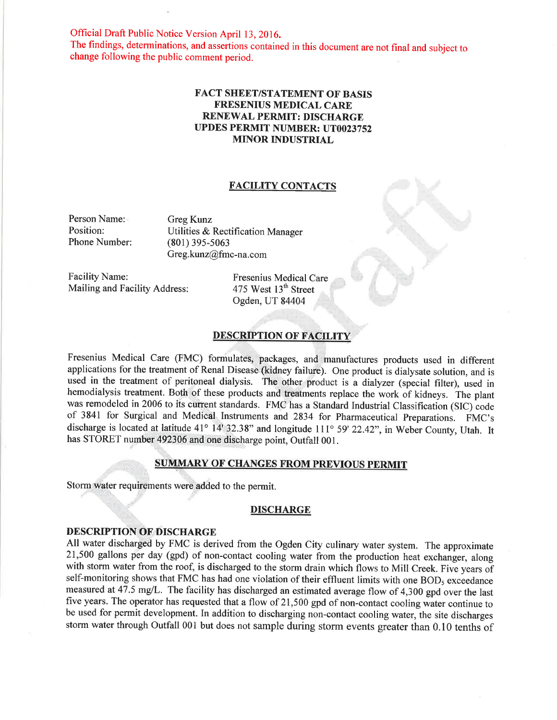Official Draft Public Notice Version April 13, 2016.

The findings, determinations, and assertions contained in this document are not final and subject to change following the public comment period.

## FACT SHEET/STATEMENT OF BASIS FRESENIUS MEDICAL CARE RENEWAL PERMIT: DISCHARGE UPDES PERMIT NUMBER: UT0023752 **MINOR INDUSTRIAL**

## FACILITY CONTACTS

Person Name: Position: Phone Number: Greg Kunz Utilities & Rectification Manager (801) 39s-s063 Greg.kunz@fmc-na.com

Facility Name: Mailing and Facility Address: Fresenius Medical Care 475 West 13<sup>th</sup> Street Ogden, UT 84404

# DESCRIPTION OF FACILITY

Fresenius Medical Care (FMC) formulates, packages, and manufactures products used in different applications for the treatment of Renal Disease (kidney failure). One product is dialysate solution, and is used in the treatment of peritoneal dialysis. The other product is a dialyzer (special filter), used in hemodialysis treatment. Both of these products and treatments replace the work of kidneys. The plant was remodeled in 2006 to its current standards. FMC has a Standard Industrial Classification (SIC) code of 3841 for Surgical and Medical Instruments and 2834 for Pharmaceutical Preparations. FMC's discharge is located at latitude 41° 14' 32.38" and longitude 111° 59' 22.42", in Weber County, Utah. It has STORET number 492306 and one discharge point, Outfall 001.

### SUMMARY OF CHANGES FROM PREVIOUS PERMIT

Storm water requirements were added to the permit.

## **DISCHARGE**

# DESCRIPTION OF DISCHARGE

All water discharged by FMC is derived from the Ogden City culinary water system. The approximate 21,500 gallons per day (gpd) of non-contact cooling water from the production heat exchanger, along with storm water from the roof, is discharged to the storm drain which flows to Mill Creek. Five years of self-monitoring shows that FMC has had one violation of their effluent limits with one BOD<sub>5</sub> exceedance measured at 47.5 mg/L. The facility has discharged an estimated average flow of 4,300 gpd over the last five years. The operator has requested that a flow of 21,500 gpd of non-contact cooling wãter continue to be used for permit development. In addition to discharging non-contact cooling water, the site discharges storm water through Outfall 001 but does not sample during storm events greater than 0.10 tenths of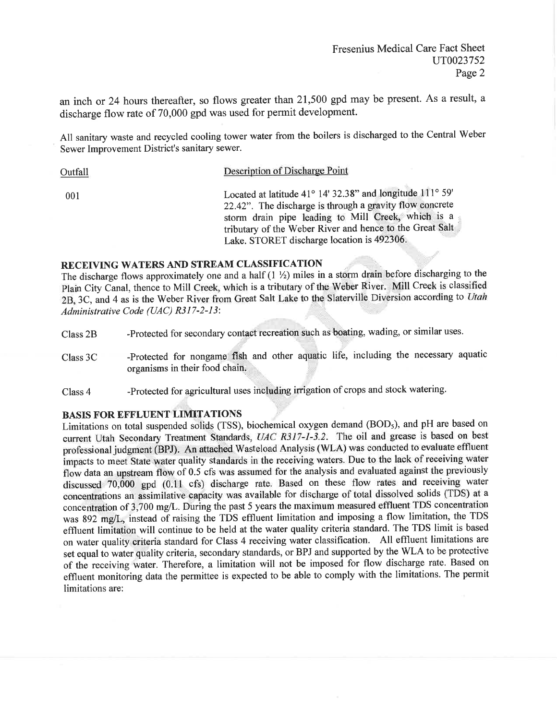an inch or 24 hours thereafter, so flows greater than 21,500 gpd may be present. As a result, a discharge flow rate of 70,000 gpd was used for permit development.

All sanitary waste and recycled cooling tower water from the boilers is discharged to the Central Weber Sewer Improvement District's sanitary sewer.

Description of Discharge Point Outfall Located at latitude 41° 14' 32.38" and longitude 111° 59' 001 22.42". The discharge is through a gravity flow concrete storm drain pipe leading to Mill Creek, which is a tributary of the Weber River and hence to the Great Salt Lake. STORET discharge location is 492306.

# RECEIVING WATERS AND STREAM CLASSIFICATION

The discharge flows approximately one and a half  $(1 \frac{1}{2})$  miles in a storm drain before discharging to the Plain City Canal, thence to Mill Creek, which is a tributary of the Weber River. Mill Creek is classified 2B, 3C, and 4 as is the Weber River from Great Salt Lake to the Slaterville Diversion according to Utah Administrative Code (UAC) R317-2-13:

- -Protected for secondary contact recreation such as boating, wading, or similar uses. Class<sub>2B</sub>
- -Protected for nongame fish and other aquatic life, including the necessary aquatic Class 3C organisms in their food chain.
- -Protected for agricultural uses including irrigation of crops and stock watering. Class 4

### **BASIS FOR EFFLUENT LIMITATIONS**

Limitations on total suspended solids (TSS), biochemical oxygen demand (BOD<sub>5</sub>), and pH are based on current Utah Secondary Treatment Standards, UAC R317-1-3.2. The oil and grease is based on best professional judgment (BPJ). An attached Wasteload Analysis (WLA) was conducted to evaluate effluent impacts to meet State water quality standards in the receiving waters. Due to the lack of receiving water flow data an upstream flow of 0.5 cfs was assumed for the analysis and evaluated against the previously discussed 70,000 gpd (0.11 cfs) discharge rate. Based on these flow rates and receiving water concentrations an assimilative capacity was available for discharge of total dissolved solids (TDS) at a concentration of 3,700 mg/L. During the past 5 years the maximum measured effluent TDS concentration was 892 mg/L, instead of raising the TDS effluent limitation and imposing a flow limitation, the TDS effluent limitation will continue to be held at the water quality criteria standard. The TDS limit is based on water quality criteria standard for Class 4 receiving water classification. All effluent limitations are set equal to water quality criteria, secondary standards, or BPJ and supported by the WLA to be protective of the receiving water. Therefore, a limitation will not be imposed for flow discharge rate. Based on effluent monitoring data the permittee is expected to be able to comply with the limitations. The permit limitations are: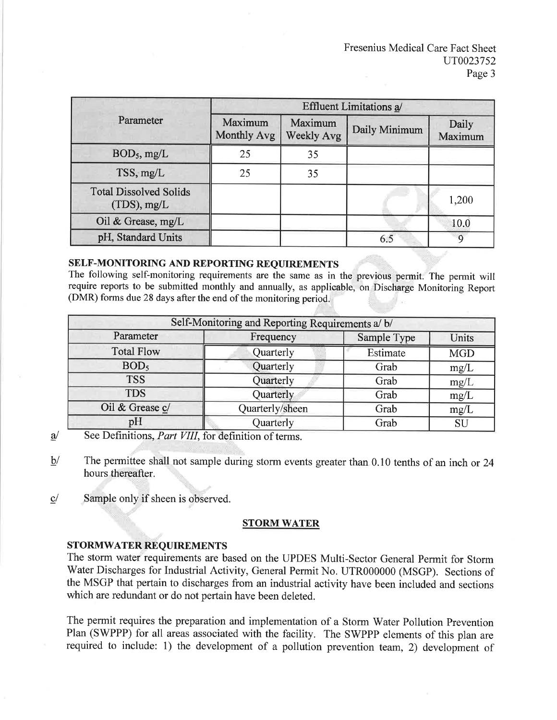| Parameter                                       | <b>Effluent Limitations a/</b> |                              |               |                  |
|-------------------------------------------------|--------------------------------|------------------------------|---------------|------------------|
|                                                 | Maximum<br><b>Monthly Avg</b>  | Maximum<br><b>Weekly Avg</b> | Daily Minimum | Daily<br>Maximum |
| $BOD_5$ , mg/L                                  | 25                             | 35                           |               |                  |
| TSS, mg/L                                       | 25                             | 35                           |               |                  |
| <b>Total Dissolved Solids</b><br>$(TDS)$ , mg/L |                                |                              |               | 1,200            |
| Oil & Grease, mg/L                              |                                |                              |               | 10.0             |
| pH, Standard Units                              |                                |                              | 6.5           | $\Omega$         |

# SELF-MONITORING AND REPORTING REQUIREMENTS

The following self-monitoring requirements are the same as in the previous permit. The permit will require reports to be submitted monthly and annually, as applicable, on Discharge Monitoring Report (DMR) forms due 28 days after the end of the monitoring period.

| Self-Monitoring and Reporting Requirements a/ b/ |                 |             |            |  |  |
|--------------------------------------------------|-----------------|-------------|------------|--|--|
| Parameter                                        | Frequency       | Sample Type | Units      |  |  |
| <b>Total Flow</b>                                | Quarterly       | Estimate    | <b>MGD</b> |  |  |
| BOD <sub>5</sub>                                 | Quarterly       | Grab        | mg/L       |  |  |
| <b>TSS</b>                                       | Quarterly       | Grab        | mg/L       |  |  |
| <b>TDS</b>                                       | Quarterly       | Grab        | mg/L       |  |  |
| Oil & Grease c/                                  | Quarterly/sheen | Grab        | mg/L       |  |  |
| pH                                               | Quarterly       | Grab        | SU         |  |  |

- ù See Definitions, *Part VIII*, for definition of terms.
- $b/$ The permittee shall not sample during storm events greater than 0.10 tenths of an inch or 24 hours thereafter.
- $c/$ Sample only if sheen is observed.

## STORM WATER

STORMWATER REQUIREMENTS<br>The storm water requirements are based on the UPDES Multi-Sector General Permit for Storm Water Discharges for Industrial Activity, General Permit No. UTR000000 (MSGP). Sections of the MSGP that pertain to discharges from an industrial activity have been included and sections which are redundant or do not pertain have been deleted.

The permit requires the preparation and implementation of a Storm Water Pollution Prevention Plan (SWPPP) for all areas associated with the facility. The SWPPP elements of this plan are required to include: 1) the development of a pollution prevention team, 2) development of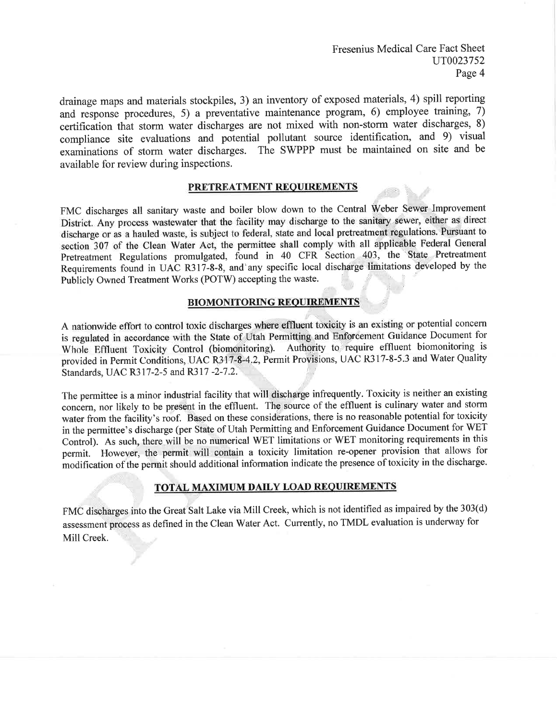Fresenius Medical Care Fact Sheet UT0023752 Page 4

drainage maps and materials stockpiles, 3) an inventory of exposed materials, 4) spill reporting and response procedures, 5) a preventative maintenance program, 6) employee training, 7) certification that storm water discharges are not mixed with non-storm water discharges, 8) compliance site evaluations and potential pollutant source identification, and 9) visual examinations of storm water discharges. The SWPPP must be maintained on site and be available for review during inspections.

## PRETREATMENT REQUIREMENTS

FMC discharges all sanitary waste and boiler blow down to the Central Weber Sewer Improvement District. Any process wastewater that the facility may discharge to the sanitary sewer, either as direct discharge or as a hauled waste, is subject to federal, state and local pretreatment regulations. Pursuant to section 307 of the Clean Water Act, the permittee shall comply with all applicable Federal General Pretreatment Regulations promulgated, found in 40 CFR Section 403, the State Pretreatment Requirements found in UAC R317-8-8, and any specific local discharge limitations developed by the Publicly Owned Treatment Works (POTW) accepting the waste.

### **BIOMONITORING REQUIREMENTS**

A nationwide effort to control toxic discharges where effluent toxicity is an existing or potential concern is regulated in accordance with the State of Utah Permitting and Enforcement Guidance Document for Whole Effluent Toxicity Control (biomonitoring). Authority to require effluent biomonitoring is provided in Permit Conditions, UAC R317-8-4.2, Permit Provisions, UAC R317-8-5.3 and Water Quality Standards, UAC R317-2-5 and R317-2-7.2.

The permittee is a minor industrial facility that will discharge infrequently. Toxicity is neither an existing concern, nor likely to be present in the effluent. The source of the effluent is culinary water and storm water from the facility's roof. Based on these considerations, there is no reasonable potential for toxicity in the permittee's discharge (per State of Utah Permitting and Enforcement Guidance Document for WET Control). As such, there will be no numerical WET limitations or WET monitoring requirements in this permit. However, the permit will contain a toxicity limitation re-opener provision that allows for modification of the permit should additional information indicate the presence of toxicity in the discharge.

# TOTAL MAXIMUM DAILY LOAD REQUIREMENTS

FMC discharges into the Great Salt Lake via Mill Creek, which is not identified as impaired by the 303(d) assessment process as defined in the Clean Water Act. Currently, no TMDL evaluation is underway for Mill Creek.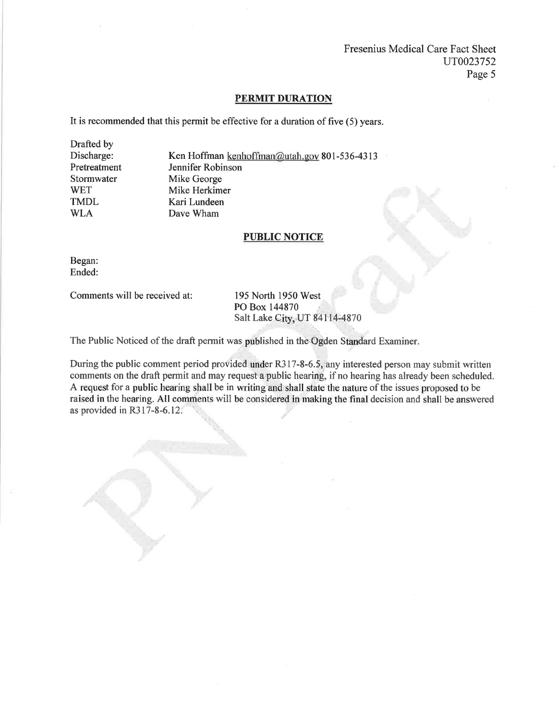Fresenius Medical Care Fact Sheet uT0023752 Page 5

#### PERMIT DURATION

It is recommended that this permit be effective for a duration of five (5) years.

Drafted by Discharge: Pretreatment Stormwater **WET** TMDL WLA

Ken Hoffman kenhoffman@utah.gov 801-536-4313 Jennifer Robinson Mike George Mike Herkimer Kari Lundeen Dave Wham

## PUBLIC NOTICE

Began: Ended:

Comments will be received at: 195 North 1950 West

PO Box 144870 Salt Lake City, UT 84114-4870

The Public Noticed of the draft permit was published in the Ogden Standard Examiner.

During the public comment period provided under R317-8-6.5, any interested person may submit written comments on the draft permit and may request a public hearing, if no hearing has already been scheduled. A request for a public hearing shall be in writing and shall state the nature of the issues proposed to be raised in the hearing. All comments will be considered in making the final decision and shall be answered as provided in R317-8-6.12.